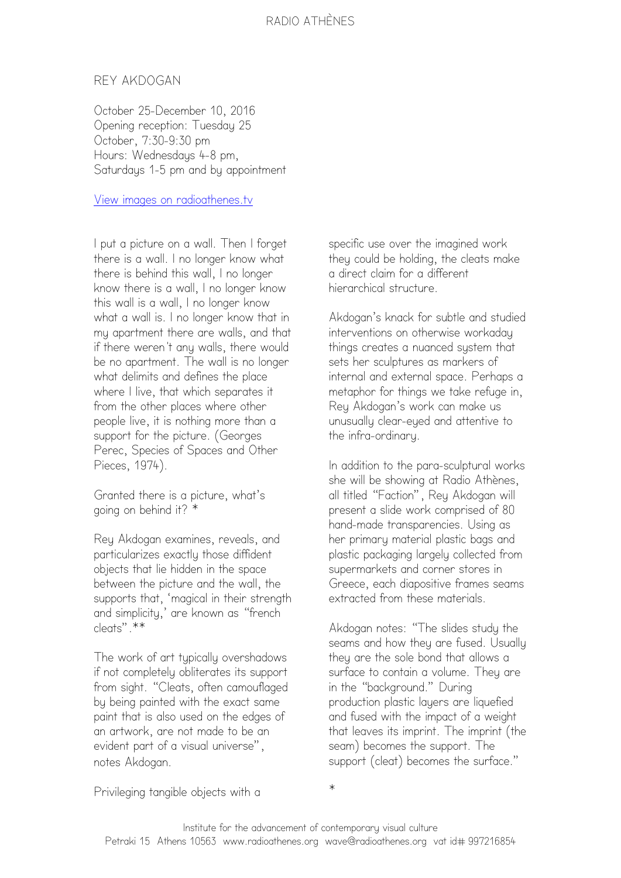## REY AKDOGAN

October 25-December 10, 2016 Opening reception: Tuesday 25 October, 7:30-9:30 pm Hours: Wednesdaus 4-8 pm. Saturdays 1-5 pm and by appointment

## View images on radioathenes.tv

I put a picture on a wall. Then I forget there is a wall. I no longer know what there is behind this wall, I no longer know there is a wall, I no longer know this wall is a wall, I no longer know what a wall is. I no longer know that in my apartment there are walls, and that if there weren't any walls, there would be no apartment. The wall is no longer what delimits and defines the place where I live, that which separates it from the other places where other people live, it is nothing more than a support for the picture. (Georges Perec, Species of Spaces and Other Pieces, 1974).

Granted there is a picture, what's going on behind it? \*

Rey Akdogan examines, reveals, and particularizes exactly those diffident objects that lie hidden in the space between the picture and the wall, the supports that, 'magical in their strength and simplicity,' are known as "french cleats".\*\*

The work of art typically overshadows if not completely obliterates its support from sight. "Cleats, often camouflaged by being painted with the exact same paint that is also used on the edges of an artwork, are not made to be an evident part of a visual universe", notes Akdogan.

specific use over the imagined work they could be holding, the cleats make a direct claim for a different hierarchical structure.

Akdogan's knack for subtle and studied interventions on otherwise workaday things creates a nuanced system that sets her sculptures as markers of internal and external space. Perhaps a metaphor for things we take refuge in, Rey Akdogan's work can make us unusually clear-eyed and attentive to the infra-ordinary.

In addition to the para-sculptural works she will be showing at Radio Athènes, all titled "Faction", Rey Akdogan will present a slide work comprised of 80 hand-made transparencies. Using as her primary material plastic bags and plastic packaging largely collected from supermarkets and corner stores in Greece, each diapositive frames seams extracted from these materials.

Akdogan notes: "The slides study the seams and how they are fused. Usually they are the sole bond that allows a surface to contain a volume. Theu are in the "background." During production plastic layers are liquefied and fused with the impact of a weight that leaves its imprint. The imprint (the seam) becomes the support. The support (cleat) becomes the surface."

Privileging tangible objects with a

\*